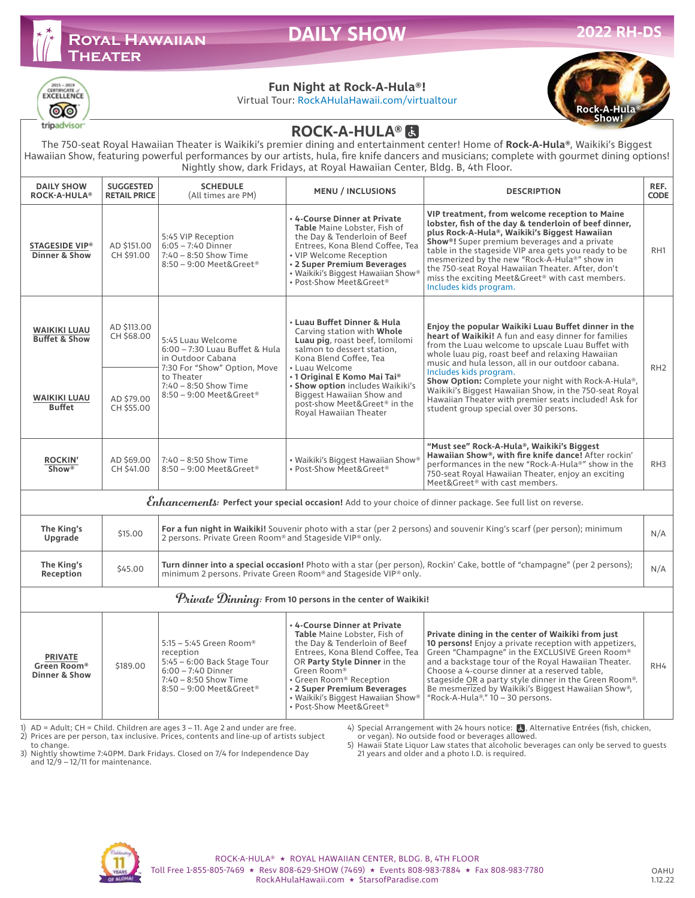# **Royal Hawaiian Theater**

**DAILY SHOW** 



#### **Fun Night at Rock-A-Hula®!**

Virtual Tour: RockAHulaHawaii.com/virtualtour



## **ROCK-A-HULA® 因**

The 750-seat Royal Hawaiian Theater is Waikiki's premier dining and entertainment center! Home of **Rock-A-Hula®**, Waikiki's Biggest Hawaiian Show, featuring powerful performances by our artists, hula, fire knife dancers and musicians; complete with gourmet dining options! Nightly show, dark Fridays, at Royal Hawaiian Center, Bldg. B, 4th Floor.

| <b>DAILY SHOW</b><br><b>ROCK-A-HULA®</b>                                                                     | <b>SUGGESTED</b><br><b>RETAIL PRICE</b>                                                                                                                                                      | <b>SCHEDULE</b><br>(All times are PM)                                                                                                                                                                                               | <b>MENU / INCLUSIONS</b>                                                                                                                                                                                                                                                                                                         | <b>DESCRIPTION</b>                                                                                                                                                                                                                                                                                                                                                                                                                                                                                                     | REF.<br><b>CODE</b> |  |  |  |  |  |
|--------------------------------------------------------------------------------------------------------------|----------------------------------------------------------------------------------------------------------------------------------------------------------------------------------------------|-------------------------------------------------------------------------------------------------------------------------------------------------------------------------------------------------------------------------------------|----------------------------------------------------------------------------------------------------------------------------------------------------------------------------------------------------------------------------------------------------------------------------------------------------------------------------------|------------------------------------------------------------------------------------------------------------------------------------------------------------------------------------------------------------------------------------------------------------------------------------------------------------------------------------------------------------------------------------------------------------------------------------------------------------------------------------------------------------------------|---------------------|--|--|--|--|--|
| <b>STAGESIDE VIP®</b><br><b>Dinner &amp; Show</b>                                                            | AD \$151.00<br>CH \$91.00                                                                                                                                                                    | 5:45 VIP Reception<br>$6:05 - 7:40$ Dinner<br>7:40 - 8:50 Show Time<br>8:50 - 9:00 Meet&Greet®                                                                                                                                      | . 4-Course Dinner at Private<br>Table Maine Lobster, Fish of<br>the Day & Tenderloin of Beef<br>Entrees, Kona Blend Coffee, Tea<br>• VIP Welcome Reception<br>• 2 Super Premium Beverages<br>• Waikiki's Biggest Hawaiian Show®<br>• Post-Show Meet&Greet®                                                                       | VIP treatment, from welcome reception to Maine<br>lobster, fish of the day & tenderloin of beef dinner,<br>plus Rock-A-Hula®, Waikiki's Biggest Hawaiian<br>Show®! Super premium beverages and a private<br>table in the stageside VIP area gets you ready to be<br>mesmerized by the new "Rock-A-Hula®" show in<br>the 750-seat Royal Hawaiian Theater. After, don't<br>miss the exciting Meet&Greet® with cast members.<br>Includes kids program.                                                                    | RH <sub>1</sub>     |  |  |  |  |  |
| <b>WAIKIKI LUAU</b><br><b>Buffet &amp; Show</b>                                                              | AD \$113,00<br>CH \$68,00                                                                                                                                                                    | 5:45 Luau Welcome<br>6:00 - 7:30 Luau Buffet & Hula<br>in Outdoor Cabana<br>7:30 For "Show" Option, Move                                                                                                                            | • Luau Buffet Dinner & Hula<br>Carving station with Whole<br>Luau pig, roast beef, lomilomi<br>salmon to dessert station,<br>Kona Blend Coffee, Tea<br>• Luau Welcome<br>• 1 Original E Komo Mai Tai®<br>· Show option includes Waikiki's<br>Biggest Hawaiian Show and<br>post-show Meet&Greet® in the<br>Royal Hawaiian Theater | Enjoy the popular Waikiki Luau Buffet dinner in the<br>heart of Waikiki! A fun and easy dinner for families<br>from the Luau welcome to upscale Luau Buffet with<br>whole luau pig, roast beef and relaxing Hawaiian<br>music and hula lesson, all in our outdoor cabana.                                                                                                                                                                                                                                              |                     |  |  |  |  |  |
| <b>WAIKIKI LUAU</b><br><b>Buffet</b>                                                                         | AD \$79.00<br>CH \$55,00                                                                                                                                                                     | to Theater<br>7:40 - 8:50 Show Time<br>8:50 - 9:00 Meet&Greet®                                                                                                                                                                      |                                                                                                                                                                                                                                                                                                                                  | Includes kids program.<br>Show Option: Complete your night with Rock-A-Hula®,<br>Waikiki's Biggest Hawaiian Show, in the 750-seat Royal<br>Hawaiian Theater with premier seats included! Ask for<br>student group special over 30 persons.                                                                                                                                                                                                                                                                             | RH <sub>2</sub>     |  |  |  |  |  |
| <b>ROCKIN'</b><br>Show <sup>®</sup>                                                                          | AD \$69.00<br>CH \$41.00                                                                                                                                                                     | 7:40 - 8:50 Show Time<br>8:50 - 9:00 Meet&Greet®                                                                                                                                                                                    | • Waikiki's Biggest Hawaiian Show®<br>· Post-Show Meet&Greet®                                                                                                                                                                                                                                                                    | "Must see" Rock-A-Hula®, Waikiki's Biggest<br>Hawaiian Show®, with fire knife dance! After rockin'<br>performances in the new "Rock-A-Hula®" show in the<br>750-seat Royal Hawaiian Theater, enjoy an exciting<br>Meet&Greet® with cast members.                                                                                                                                                                                                                                                                       | RH <sub>3</sub>     |  |  |  |  |  |
| Enhancements: Perfect your special occasion! Add to your choice of dinner package. See full list on reverse. |                                                                                                                                                                                              |                                                                                                                                                                                                                                     |                                                                                                                                                                                                                                                                                                                                  |                                                                                                                                                                                                                                                                                                                                                                                                                                                                                                                        |                     |  |  |  |  |  |
| The King's<br>Upgrade                                                                                        | For a fun night in Waikiki! Souvenir photo with a star (per 2 persons) and souvenir King's scarf (per person); minimum<br>\$15,00<br>2 persons. Private Green Room® and Stageside VIP® only. |                                                                                                                                                                                                                                     |                                                                                                                                                                                                                                                                                                                                  |                                                                                                                                                                                                                                                                                                                                                                                                                                                                                                                        |                     |  |  |  |  |  |
| The King's<br>Reception                                                                                      | \$45.00                                                                                                                                                                                      | Turn dinner into a special occasion! Photo with a star (per person), Rockin' Cake, bottle of "champagne" (per 2 persons);<br>minimum 2 persons. Private Green Room® and Stageside VIP® only.                                        |                                                                                                                                                                                                                                                                                                                                  |                                                                                                                                                                                                                                                                                                                                                                                                                                                                                                                        |                     |  |  |  |  |  |
| $\mathcal P$ rivale $\mathcal D$ inning: From 10 persons in the center of Waikiki!                           |                                                                                                                                                                                              |                                                                                                                                                                                                                                     |                                                                                                                                                                                                                                                                                                                                  |                                                                                                                                                                                                                                                                                                                                                                                                                                                                                                                        |                     |  |  |  |  |  |
| <b>PRIVATE</b><br>Green Room®<br><b>Dinner &amp; Show</b>                                                    | \$189.00                                                                                                                                                                                     | 5:15 - 5:45 Green Room®<br>reception<br>5:45 - 6:00 Back Stage Tour<br>$6:00 - 7:40$ Dinner<br>$7:40 - 8:50$ Show Time<br>8:50 - 9:00 Meet&Greet®<br>$1)$ AD = Adult: CH = Child Children are 2006 2 $11$ Ago 2 and under are free. | . 4-Course Dinner at Private<br>Table Maine Lobster, Fish of<br>the Day & Tenderloin of Beef<br>Entrees, Kona Blend Coffee, Tea<br>OR Party Style Dinner in the<br>Green Room®<br>• Green Room® Reception<br>· 2 Super Premium Beverages<br>• Waikiki's Biggest Hawaiian Show®<br>• Post-Show Meet&Greet®                        | Private dining in the center of Waikiki from just<br>10 persons! Enjoy a private reception with appetizers,<br>Green "Champagne" in the EXCLUSIVE Green Room®<br>and a backstage tour of the Royal Hawaiian Theater.<br>Choose a 4-course dinner at a reserved table,<br>stageside OR a party style dinner in the Green Room®.<br>Be mesmerized by Waikiki's Biggest Hawaiian Show®,<br>"Rock-A-Hula®." $10 - 30$ persons.<br>() Special Arrangement with 26 hours potices <b>14</b> Alternative Entrées (fish shisken | RH4                 |  |  |  |  |  |

1) AD = Adult; CH = Child. Children are ages 3 – 11. Age 2 and under are free. 2) Prices are per person, tax inclusive. Prices, contents and line-up of artists subject

4) Special Arrangement with 24 hours notice: 3, Alternative Entrées (fish, chicken,<br>or vegan). No outside food or beverages allowed.

to change.

3) Nightly showtime 7:40PM. Dark Fridays. Closed on 7/4 for Independence Day and  $12/9 - 12/11$  for maintenance.

<sup>5)</sup> Hawaii State Liquor Law states that alcoholic beverages can only be served to guests